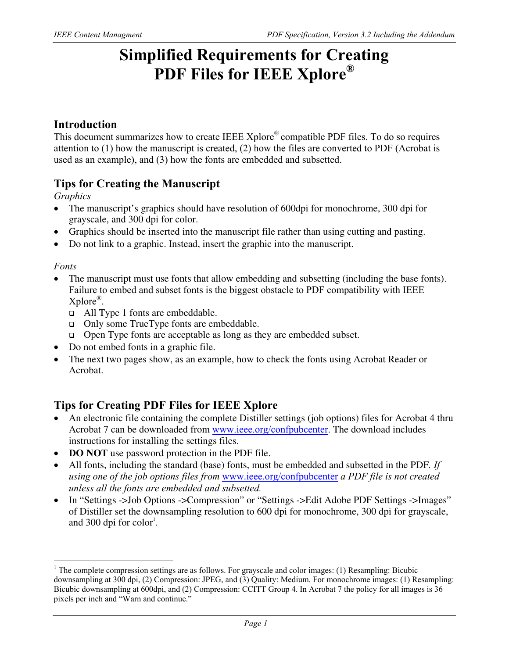# **Simplified Requirements for Creating PDF Files for IEEE Xplore®**

### **Introduction**

This document summarizes how to create IEEE Xplore® compatible PDF files. To do so requires attention to (1) how the manuscript is created, (2) how the files are converted to PDF (Acrobat is used as an example), and (3) how the fonts are embedded and subsetted.

## **Tips for Creating the Manuscript**

*Graphics* 

- The manuscript's graphics should have resolution of 600dpi for monochrome, 300 dpi for grayscale, and 300 dpi for color.
- Graphics should be inserted into the manuscript file rather than using cutting and pasting.
- Do not link to a graphic. Instead, insert the graphic into the manuscript.

### *Fonts*

 $\overline{a}$ 

- The manuscript must use fonts that allow embedding and subsetting (including the base fonts). Failure to embed and subset fonts is the biggest obstacle to PDF compatibility with IEEE Xplore®.
	- All Type 1 fonts are embeddable.
	- □ Only some TrueType fonts are embeddable.
	- Open Type fonts are acceptable as long as they are embedded subset.
- Do not embed fonts in a graphic file.
- The next two pages show, as an example, how to check the fonts using Acrobat Reader or Acrobat.

## **Tips for Creating PDF Files for IEEE Xplore**

- An electronic file containing the complete Distiller settings (job options) files for Acrobat 4 thru Acrobat 7 can be downloaded from www.ieee.org/confpubcenter. The download includes instructions for installing the settings files.
- **DO NOT** use password protection in the PDF file.
- All fonts, including the standard (base) fonts, must be embedded and subsetted in the PDF*. If using one of the job options files from* www.ieee.org/confpubcenter *a PDF file is not created unless all the fonts are embedded and subsetted.*
- In "Settings ->Job Options ->Compression" or "Settings ->Edit Adobe PDF Settings ->Images" of Distiller set the downsampling resolution to 600 dpi for monochrome, 300 dpi for grayscale, and 300 dpi for  $color<sup>1</sup>$ .

<sup>&</sup>lt;sup>1</sup> The complete compression settings are as follows. For grayscale and color images: (1) Resampling: Bicubic downsampling at 300 dpi, (2) Compression: JPEG, and (3) Quality: Medium. For monochrome images: (1) Resampling: Bicubic downsampling at 600dpi, and (2) Compression: CCITT Group 4. In Acrobat 7 the policy for all images is 36 pixels per inch and "Warn and continue."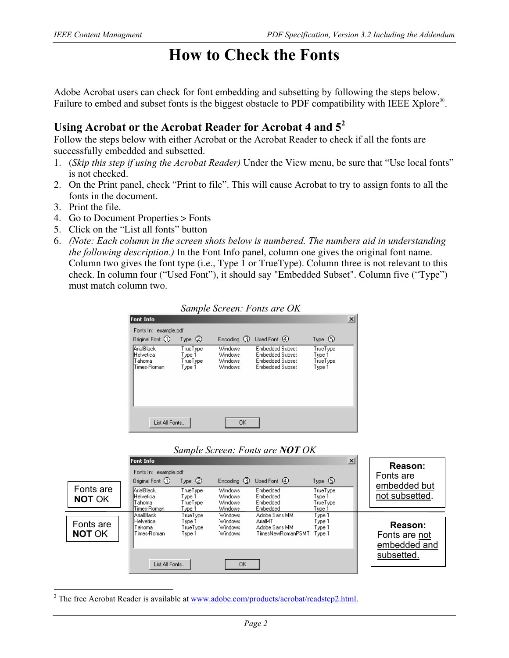## **How to Check the Fonts**

Adobe Acrobat users can check for font embedding and subsetting by following the steps below. Failure to embed and subset fonts is the biggest obstacle to PDF compatibility with IEEE Xplore<sup>®</sup>.

## **Using Acrobat or the Acrobat Reader for Acrobat 4 and 5<sup>2</sup>**

Follow the steps below with either Acrobat or the Acrobat Reader to check if all the fonts are successfully embedded and subsetted.

- 1. (*Skip this step if using the Acrobat Reader)* Under the View menu, be sure that "Use local fonts" is not checked.
- 2. On the Print panel, check "Print to file". This will cause Acrobat to try to assign fonts to all the fonts in the document.
- 3. Print the file.

 $\overline{a}$ 

- 4. Go to Document Properties > Fonts
- 5. Click on the "List all fonts" button
- 6. *(Note: Each column in the screen shots below is numbered. The numbers aid in understanding the following description.)* In the Font Info panel, column one gives the original font name. Column two gives the font type (i.e., Type 1 or TrueType). Column three is not relevant to this check. In column four ("Used Font"), it should say "Embedded Subset". Column five ("Type") must match column two.

|                                                  |                                          |                                                        | Sample Screen: Fonts are OK                                                            |                                          |                 |
|--------------------------------------------------|------------------------------------------|--------------------------------------------------------|----------------------------------------------------------------------------------------|------------------------------------------|-----------------|
| <b>Font Info</b>                                 |                                          |                                                        |                                                                                        |                                          | $\vert x \vert$ |
| Fonts In: example.pdf                            |                                          |                                                        |                                                                                        |                                          |                 |
| Original Font (1)                                | Type $(2)$                               |                                                        | Encoding (3) Used Font (4)                                                             | Type $\circledS$                         |                 |
| ArialBlack<br>Helvetica<br>Tahoma<br>Times-Roman | TrueType<br>Type 1<br>TrueType<br>Type 1 | Windows<br>Windows<br><b>Windows</b><br><b>Windows</b> | <b>Embedded Subset</b><br>Embedded Subset<br><b>Embedded Subset</b><br>Embedded Subset | TrueType<br>Type 1<br>TrueType<br>Type 1 |                 |
| List All Fonts                                   |                                          | <b>OK</b>                                              |                                                                                        |                                          |                 |

### *Sample Screen: Fonts are NOT OK*

|                            | Font Info                                           |                                          |                                             |                                                                | $\mathbf{x}$                         |                                          |         |  |
|----------------------------|-----------------------------------------------------|------------------------------------------|---------------------------------------------|----------------------------------------------------------------|--------------------------------------|------------------------------------------|---------|--|
|                            | Fonts In: example.pdf<br>Original Font (1)          | Type $\oslash$                           |                                             | Encoding $\circled{3}$ Used Font $\circled{4}$                 | Type $\circledS$                     | Fonts are                                | Reason: |  |
| Fonts are<br><b>NOT OK</b> | ArialBlack<br>Helvetica<br>Tahoma                   | TrueType<br>Type 1<br>TrueType           | <b>Windows</b><br><b>Windows</b><br>Windows | Embedded<br>Embedded<br>Embedded                               | TrueType<br>Type 1<br>TrueType       | embedded but<br>not subsetted.           |         |  |
|                            | Times-Roman.                                        | Type 1                                   | <b>Windows</b>                              | Embedded                                                       | Type 1                               |                                          |         |  |
| Fonts are<br><b>NOT OK</b> | ArialBlack <br>IHelvetica.<br>Tahoma<br>Times-Roman | TrueType<br>Type 1<br>TrueType<br>Type 1 | Windows<br>Windows<br>Windows<br>Windows    | Adobe Sans MM<br>ArialMT<br>Adobe Sans MM<br>TimesNewRomanPSMT | Type 1<br>Type 1<br>Type 1<br>Type 1 | Reason:<br>Fonts are not<br>embedded and |         |  |
|                            | List All Fonts                                      |                                          | <b>OK</b>                                   |                                                                |                                      | subsetted.                               |         |  |

<sup>2</sup> The free Acrobat Reader is available at  $\underline{www.addobe.com/products/acrobat/readstep2.html}$ .